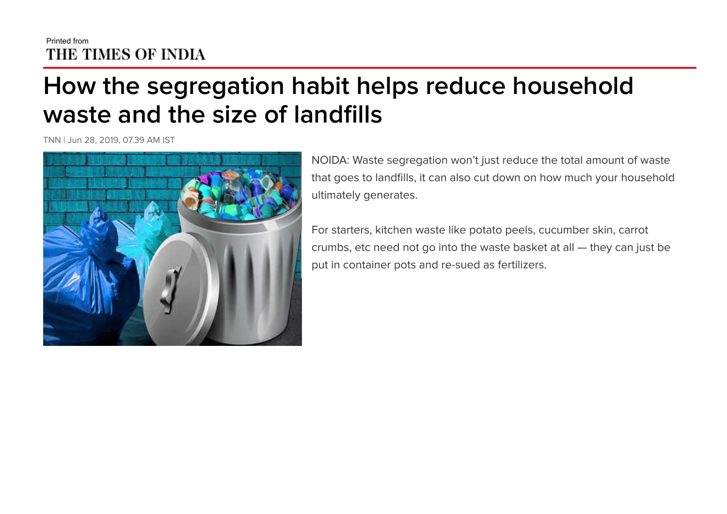## Printed from<br>THE TIMES OF INDIA

## **How the segregation habit helps reduce household waste and the size of landfills**

TNN | Jun 28, 2019, 07.39 AM IST



NOIDA: Waste segregation won't just reduce the total amount of waste that goes to landfills, it can also cut down on how much your household ultimately generates.

For starters, kitchen waste like potato peels, cucumber skin, carrot crumbs, etc need not go into the waste basket at all — they can just be put in container pots and re-sued as fertilizers.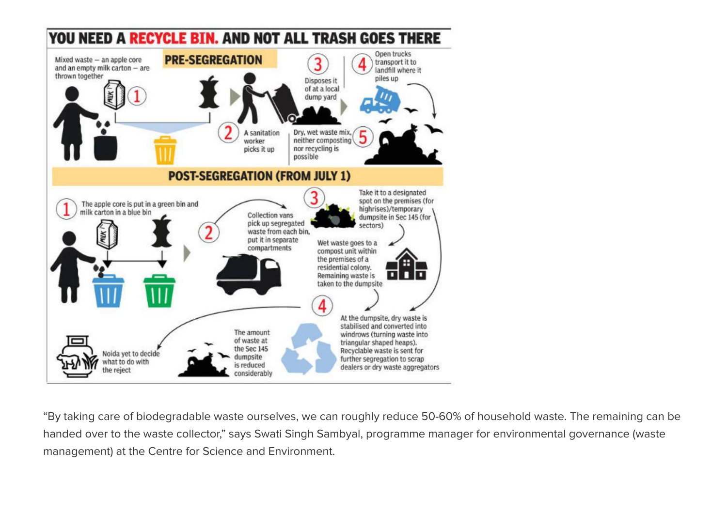

"By taking care of biodegradable waste ourselves, we can roughly reduce 50-60% of household waste. The remaining can be handed over to the waste collector," says Swati Singh Sambyal, programme manager for environmental governance (waste management) at the Centre for Science and Environment.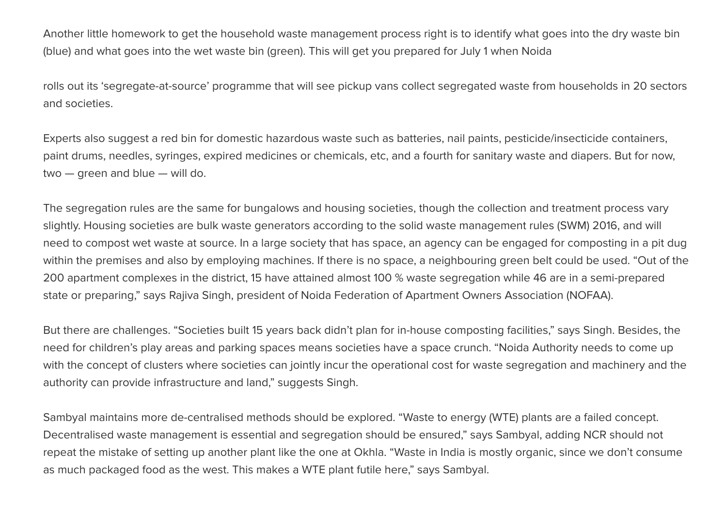Another little homework to get the household waste management process right is to identify what goes into the dry waste bin (blue) and what goes into the wet waste bin (green). This will get you prepared for July 1 when Noida

rolls out its 'segregate-at-source' programme that will see pickup vans collect segregated waste from households in 20 sectors and societies.

Experts also suggest a red bin for domestic hazardous waste such as batteries, nail paints, pesticide/insecticide containers, paint drums, needles, syringes, expired medicines or chemicals, etc, and a fourth for sanitary waste and diapers. But for now, two — green and blue — will do.

The segregation rules are the same for bungalows and housing societies, though the collection and treatment process vary slightly. Housing societies are bulk waste generators according to the solid waste management rules (SWM) 2016, and will need to compost wet waste at source. In a large society that has space, an agency can be engaged for composting in a pit dug within the premises and also by employing machines. If there is no space, a neighbouring green belt could be used. "Out of the 200 apartment complexes in the district, 15 have attained almost 100 % waste segregation while 46 are in a semi-prepared state or preparing," says Rajiva Singh, president of Noida Federation of Apartment Owners Association (NOFAA).

But there are challenges. "Societies built 15 years back didn't plan for in-house composting facilities," says Singh. Besides, the need for children's play areas and parking spaces means societies have a space crunch. "Noida Authority needs to come up with the concept of clusters where societies can jointly incur the operational cost for waste segregation and machinery and the authority can provide infrastructure and land," suggests Singh.

Sambyal maintains more de-centralised methods should be explored. "Waste to energy (WTE) plants are a failed concept. Decentralised waste management is essential and segregation should be ensured," says Sambyal, adding NCR should not repeat the mistake of setting up another plant like the one at Okhla. "Waste in India is mostly organic, since we don't consume as much packaged food as the west. This makes a WTE plant futile here," says Sambyal.